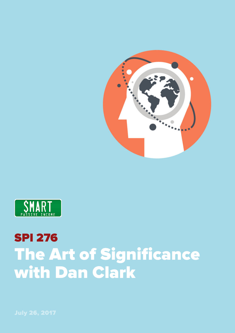



## SPI 276 The Art of Significance with Dan Clark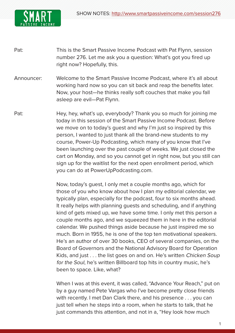

- Pat: This is the Smart Passive Income Podcast with Pat Flynn, session number 276. Let me ask you a question: What's got you fired up right now? Hopefully, this.
- Announcer: Welcome to the Smart Passive Income Podcast, where it's all about working hard now so you can sit back and reap the benefits later. Now, your host—he thinks really soft couches that make you fall asleep are evil—Pat Flynn.
- Pat: Hey, hey, what's up, everybody? Thank you so much for joining me today in this session of the Smart Passive Income Podcast. Before we move on to today's guest and why I'm just so inspired by this person, I wanted to just thank all the brand-new students to my course, Power-Up Podcasting, which many of you know that I've been launching over the past couple of weeks. We just closed the cart on Monday, and so you cannot get in right now, but you still can sign up for the waitlist for the next open enrollment period, which you can do at PowerUpPodcasting.com.

Now, today's guest, I only met a couple months ago, which for those of you who know about how I plan my editorial calendar, we typically plan, especially for the podcast, four to six months ahead. It really helps with planning guests and scheduling, and if anything kind of gets mixed up, we have some time. I only met this person a couple months ago, and we squeezed them in here in the editorial calendar. We pushed things aside because he just inspired me so much. Born in 1955, he is one of the top ten motivational speakers. He's an author of over 30 books, CEO of several companies, on the Board of Governors and the National Advisory Board for Operation Kids, and just . . . the list goes on and on. He's written Chicken Soup for the Soul, he's written Billboard top hits in country music, he's been to space. Like, what?

 When I was at this event, it was called, "Advance Your Reach," put on by a guy named Pete Vargas who I've become pretty close friends with recently. I met Dan Clark there, and his presence . . . you can just tell when he steps into a room, when he starts to talk, that he just commands this attention, and not in a, "Hey look how much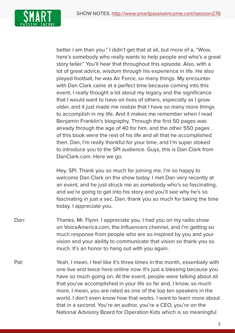

better I am than you." I didn't get that at all, but more of a, "Wow, here's somebody who really wants to help people and who's a great story teller." You'll hear that throughout this episode. Also, with a lot of great advice, wisdom through his experience in life. He also played football, he was Air Force, so many things. My encounter with Dan Clark came at a perfect time because coming into this event, I really thought a lot about my legacy and the significance that I would want to have on lives of others, especially as I grow older, and it just made me realize that I have so many more things to accomplish in my life. And it makes me remember when I read Benjamin Franklin's biography. Through the first 50 pages was already through the age of 40 for him, and the other 550 pages of this book were the rest of his life and all that he accomplished then. Dan, I'm really thankful for your time, and I'm super stoked to introduce you to the SPI audience. Guys, this is Dan Clark from DanClark.com. Here we go.

 Hey, SPI. Thank you so much for joining me. I'm so happy to welcome Dan Clark on the show today. I met Dan very recently at an event, and he just struck me as somebody who's so fascinating, and we're going to get into his story and you'll see why he's so fascinating in just a sec. Dan, thank you so much for taking the time today. I appreciate you.

- Dan: Thanks, Mr. Flynn. I appreciate you. I had you on my radio show on VoiceAmerica.com, the Influencers channel, and I'm getting so much response from people who are so inspired by you and your vision and your ability to communicate that vision so thank you so much. It's an honor to hang out with you again.
- Pat: Yeah, I mean, I feel like it's three times in the month, essentially with one live and twice here online now. It's just a blessing because you have so much going on. At the event, people were talking about all that you've accomplished in your life so far and, I know, so much more. I mean, you are rated as one of the top ten speakers in the world. I don't even know how that works. I want to learn more about that in a second. You're an author, you're a CEO, you're on the National Advisory Board for Operation Kids which is so meaningful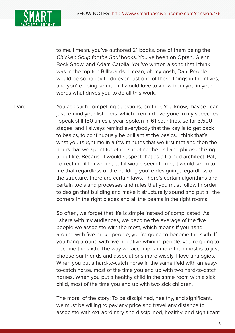SHOW NOTES: [http://www.smartpassiveincome.com/session](http://smartpassiveincome.com/session276)276



to me. I mean, you've authored 21 books, one of them being the Chicken Soup for the Soul books. You've been on Oprah, Glenn Beck Show, and Adam Carolla. You've written a song that I think was in the top ten Billboards. I mean, oh my gosh, Dan. People would be so happy to do even just one of those things in their lives, and you're doing so much. I would love to know from you in your words what drives you to do all this work.

Dan: You ask such compelling questions, brother. You know, maybe I can just remind your listeners, which I remind everyone in my speeches: I speak still 150 times a year, spoken in 61 countries, so far 5,500 stages, and I always remind everybody that the key is to get back to basics, to continuously be brilliant at the basics. I think that's what you taught me in a few minutes that we first met and then the hours that we spent together shooting the ball and philosophizing about life. Because I would suspect that as a trained architect, Pat, correct me if I'm wrong, but it would seem to me, it would seem to me that regardless of the building you're designing, regardless of the structure, there are certain laws. There's certain algorithms and certain tools and processes and rules that you must follow in order to design that building and make it structurally sound and put all the corners in the right places and all the beams in the right rooms.

> So often, we forget that life is simple instead of complicated. As I share with my audiences, we become the average of the five people we associate with the most, which means if you hang around with five broke people, you're going to become the sixth. If you hang around with five negative whining people, you're going to become the sixth. The way we accomplish more than most is to just choose our friends and associations more wisely. I love analogies. When you put a hard-to-catch horse in the same field with an easyto-catch horse, most of the time you end up with two hard-to-catch horses. When you put a healthy child in the same room with a sick child, most of the time you end up with two sick children.

> The moral of the story: To be disciplined, healthy, and significant, we must be willing to pay any price and travel any distance to associate with extraordinary and disciplined, healthy, and significant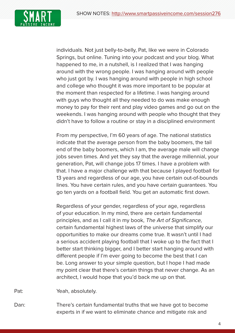

individuals. Not just belly-to-belly, Pat, like we were in Colorado Springs, but online. Tuning into your podcast and your blog. What happened to me, in a nutshell, is I realized that I was hanging around with the wrong people. I was hanging around with people who just got by. I was hanging around with people in high school and college who thought it was more important to be popular at the moment than respected for a lifetime. I was hanging around with guys who thought all they needed to do was make enough money to pay for their rent and play video games and go out on the weekends. I was hanging around with people who thought that they didn't have to follow a routine or stay in a disciplined environment

From my perspective, I'm 60 years of age. The national statistics indicate that the average person from the baby boomers, the tail end of the baby boomers, which I am, the average male will change jobs seven times. And yet they say that the average millennial, your generation, Pat, will change jobs 17 times. I have a problem with that. I have a major challenge with that because I played football for 13 years and regardless of our age, you have certain out-of-bounds lines. You have certain rules, and you have certain guarantees. You go ten yards on a football field. You get an automatic first down.

Regardless of your gender, regardless of your age, regardless of your education. In my mind, there are certain fundamental principles, and as I call it in my book, The Art of Significance, certain fundamental highest laws of the universe that simplify our opportunities to make our dreams come true. It wasn't until I had a serious accident playing football that I woke up to the fact that I better start thinking bigger, and I better start hanging around with different people if I'm ever going to become the best that I can be. Long answer to your simple question, but I hope I had made my point clear that there's certain things that never change. As an architect, I would hope that you'd back me up on that.

Pat: Yeah, absolutely.

Dan: There's certain fundamental truths that we have got to become experts in if we want to eliminate chance and mitigate risk and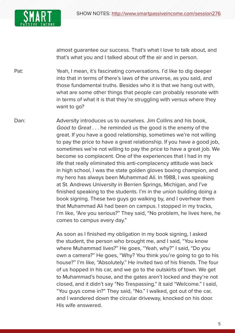

almost guarantee our success. That's what I love to talk about, and that's what you and I talked about off the air and in person.

Pat: Yeah, I mean, it's fascinating conversations. I'd like to dig deeper into that in terms of there's laws of the universe, as you said, and those fundamental truths. Besides who it is that we hang out with, what are some other things that people can probably resonate with in terms of what it is that they're struggling with versus where they want to go?

Dan: Adversity introduces us to ourselves. Jim Collins and his book, Good to Great . . . he reminded us the good is the enemy of the great. If you have a good relationship, sometimes we're not willing to pay the price to have a great relationship. If you have a good job, sometimes we're not willing to pay the price to have a great job. We become so complacent. One of the experiences that I had in my life that really eliminated this anti-complacency attitude was back in high school, I was the state golden gloves boxing champion, and my hero has always been Muhammad Ali. In 1988, I was speaking at St. Andrews University in Berrien Springs, Michigan, and I've finished speaking to the students. I'm in the union building doing a book signing. These two guys go walking by, and I overhear them that Muhammad Ali had been on campus. I stopped in my tracks, I'm like, "Are you serious?" They said, "No problem, he lives here, he comes to campus every day."

> As soon as I finished my obligation in my book signing, I asked the student, the person who brought me, and I said, "You know where Muhammad lives?" He goes, "Yeah, why?" I said, "Do you own a camera?" He goes, "Why? You think you're going to go to his house?" I'm like, "Absolutely." He invited two of his friends. The four of us hopped in his car, and we go to the outskirts of town. We get to Muhammad's house, and the gates aren't locked and they're not closed, and it didn't say "No Trespassing." It said "Welcome." I said, "You guys come in?" They said, "No." I walked, got out of the car, and I wandered down the circular driveway, knocked on his door. His wife answered.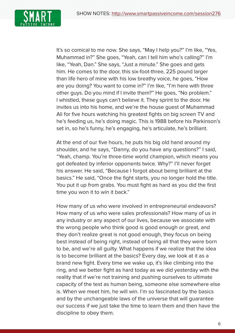

It's so comical to me now. She says, "May I help you?" I'm like, "Yes, Muhammad in?" She goes, "Yeah, can I tell him who's calling?" I'm like, "Yeah, Dan." She says, "Just a minute." She goes and gets him. He comes to the door, this six-foot-three, 225 pound larger than life hero of mine with his low breathy voice, he goes, "How are you doing? You want to come in?" I'm like, "I'm here with three other guys. Do you mind if I invite them?" He goes, "No problem." I whistled, these guys can't believe it. They sprint to the door. He invites us into his home, and we're the house guest of Muhammad Ali for five hours watching his greatest fights on big screen TV and he's feeding us, he's doing magic. This is 1988 before his Parkinson's set in, so he's funny, he's engaging, he's articulate, he's brilliant.

At the end of our five hours, he puts his big old hand around my shoulder, and he says, "Danny, do you have any questions?" I said, "Yeah, champ. You're three-time world champion, which means you got defeated by inferior opponents twice. Why?" I'll never forget his answer. He said, "Because I forgot about being brilliant at the basics." He said, "Once the fight starts, you no longer hold the title. You put it up from grabs. You must fight as hard as you did the first time you won it to win it back."

 How many of us who were involved in entrepreneurial endeavors? How many of us who were sales professionals? How many of us in any industry or any aspect of our lives, because we associate with the wrong people who think good is good enough or great, and they don't realize great is not good enough, they focus on being best instead of being right, instead of being all that they were born to be, and we're all guilty. What happens if we realize that the idea is to become brilliant at the basics? Every day, we look at it as a brand new fight. Every time we wake up, it's like climbing into the ring, and we better fight as hard today as we did yesterday with the reality that if we're not training and pushing ourselves to ultimate capacity of the test as human being, someone else somewhere else is. When we meet him, he will win. I'm so fascinated by the basics and by the unchangeable laws of the universe that will guarantee our success if we just take the time to learn them and then have the discipline to obey them.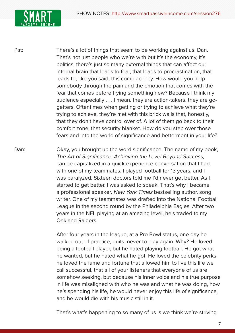

Pat: There's a lot of things that seem to be working against us, Dan. That's not just people who we're with but it's the economy, it's politics, there's just so many external things that can affect our internal brain that leads to fear, that leads to procrastination, that leads to, like you said, this complacency. How would you help somebody through the pain and the emotion that comes with the fear that comes before trying something new? Because I think my audience especially . . . I mean, they are action-takers, they are gogetters. Oftentimes when getting or trying to achieve what they're trying to achieve, they're met with this brick walls that, honestly, that they don't have control over of. A lot of them go back to their comfort zone, that security blanket. How do you step over those fears and into the world of significance and betterment in your life?

Dan: Okay, you brought up the word significance. The name of my book, The Art of Significance: Achieving the Level Beyond Success, can be capitalized in a quick experience conversation that I had with one of my teammates. I played football for 13 years, and I was paralyzed. Sixteen doctors told me I'd never get better. As I started to get better, I was asked to speak. That's why I became a professional speaker, New York Times bestselling author, song writer. One of my teammates was drafted into the National Football League in the second round by the Philadelphia Eagles. After two years in the NFL playing at an amazing level, he's traded to my Oakland Raiders.

> After four years in the league, at a Pro Bowl status, one day he walked out of practice, quits, never to play again. Why? He loved being a football player, but he hated playing football. He got what he wanted, but he hated what he got. He loved the celebrity perks, he loved the fame and fortune that allowed him to live this life we call successful, that all of your listeners that everyone of us are somehow seeking, but because his inner voice and his true purpose in life was misaligned with who he was and what he was doing, how he's spending his life, he would never enjoy this life of significance, and he would die with his music still in it.

That's what's happening to so many of us is we think we're striving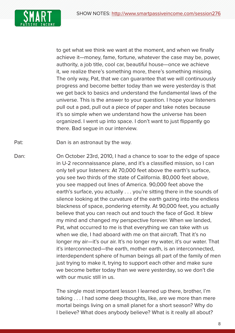

to get what we think we want at the moment, and when we finally achieve it—money, fame, fortune, whatever the case may be, power, authority, a job title, cool car, beautiful house—once we achieve it, we realize there's something more, there's something missing. The only way, Pat, that we can guarantee that we will continuously progress and become better today than we were yesterday is that we get back to basics and understand the fundamental laws of the universe. This is the answer to your question. I hope your listeners pull out a pad, pull out a piece of paper and take notes because it's so simple when we understand how the universe has been organized. I went up into space. I don't want to just flippantly go there. Bad segue in our interview.

Pat: Dan is an astronaut by the way.

Dan: On October 23rd, 2010, I had a chance to soar to the edge of space in U-2 reconnaissance plane, and it's a classified mission, so I can only tell your listeners: At 70,000 feet above the earth's surface, you see two thirds of the state of California. 80,000 feet above, you see mapped out lines of America. 90,000 feet above the earth's surface, you actually . . . you're sitting there in the sounds of silence looking at the curvature of the earth gazing into the endless blackness of space, pondering eternity. At 90,000 feet, you actually believe that you can reach out and touch the face of God. It blew my mind and changed my perspective forever. When we landed, Pat, what occurred to me is that everything we can take with us when we die, I had aboard with me on that aircraft. That it's no longer my air—it's our air. It's no longer my water, it's our water. That it's interconnected—the earth, mother earth, is an interconnected, interdependent sphere of human beings all part of the family of men just trying to make it, trying to support each other and make sure we become better today than we were yesterday, so we don't die with our music still in us.

> The single most important lesson I learned up there, brother, I'm talking . . . I had some deep thoughts, like, are we more than mere mortal beings living on a small planet for a short season? Why do I believe? What does anybody believe? What is it really all about?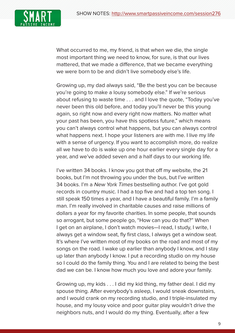

What occurred to me, my friend, is that when we die, the single most important thing we need to know, for sure, is that our lives mattered, that we made a difference, that we became everything we were born to be and didn't live somebody else's life.

Growing up, my dad always said, "Be the best you can be because you're going to make a lousy somebody else." If we're serious about refusing to waste time . . . and I love the quote, "Today you've never been this old before, and today you'll never be this young again, so right now and every right now matters. No matter what your past has been, you have this spotless future," which means you can't always control what happens, but you can always control what happens next. I hope your listeners are with me. I live my life with a sense of urgency. If you want to accomplish more, do realize all we have to do is wake up one hour earlier every single day for a year, and we've added seven and a half days to our working life.

I've written 34 books. I know you got that off my website, the 21 books, but I'm not throwing you under the bus, but I've written 34 books. I'm a New York Times bestselling author. I've got gold records in country music. I had a top five and had a top ten song. I still speak 150 times a year, and I have a beautiful family. I'm a family man. I'm really involved in charitable causes and raise millions of dollars a year for my favorite charities. In some people, that sounds so arrogant, but some people go, "How can you do that?" When I get on an airplane, I don't watch movies—I read, I study, I write, I always get a window seat, fly first class, I always get a window seat. It's where I've written most of my books on the road and most of my songs on the road. I wake up earlier than anybody I know, and I stay up later than anybody I know. I put a recording studio on my house so I could do the family thing. You and I are related to being the best dad we can be. I know how much you love and adore your family.

Growing up, my kids . . . I did my kid thing, my father deal. I did my spouse thing. After everybody's asleep, I would sneak downstairs, and I would crank on my recording studio, and I triple-insulated my house, and my lousy voice and poor guitar play wouldn't drive the neighbors nuts, and I would do my thing. Eventually, after a few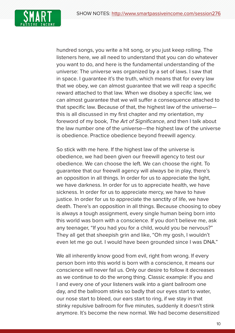

hundred songs, you write a hit song, or you just keep rolling. The listeners here, we all need to understand that you can do whatever you want to do, and here is the fundamental understanding of the universe: The universe was organized by a set of laws. I saw that in space. I guarantee it's the truth, which means that for every law that we obey, we can almost guarantee that we will reap a specific reward attached to that law. When we disobey a specific law, we can almost guarantee that we will suffer a consequence attached to that specific law. Because of that, the highest law of the universe this is all discussed in my first chapter and my orientation, my foreword of my book, The Art of Significance, and then I talk about the law number one of the universe—the highest law of the universe is obedience. Practice obedience beyond freewill agency.

So stick with me here. If the highest law of the universe is obedience, we had been given our freewill agency to test our obedience. We can choose the left. We can choose the right. To guarantee that our freewill agency will always be in play, there's an opposition in all things. In order for us to appreciate the light, we have darkness. In order for us to appreciate health, we have sickness. In order for us to appreciate mercy, we have to have justice. In order for us to appreciate the sanctity of life, we have death. There's an opposition in all things. Because choosing to obey is always a tough assignment, every single human being born into this world was born with a conscience. If you don't believe me, ask any teenager, "If you had you for a child, would you be nervous?" They all get that sheepish grin and like, "Oh my gosh, I wouldn't even let me go out. I would have been grounded since I was DNA."

 We all inherently know good from evil, right from wrong. If every person born into this world is born with a conscience, it means our conscience will never fail us. Only our desire to follow it decreases as we continue to do the wrong thing. Classic example: If you and I and every one of your listeners walk into a giant ballroom one day, and the ballroom stinks so badly that our eyes start to water, our nose start to bleed, our ears start to ring, if we stay in that stinky repulsive ballroom for five minutes, suddenly it doesn't stink anymore. It's become the new normal. We had become desensitized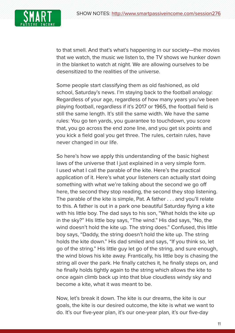

to that smell. And that's what's happening in our society—the movies that we watch, the music we listen to, the TV shows we hunker down in the blanket to watch at night. We are allowing ourselves to be desensitized to the realities of the universe.

Some people start classifying them as old fashioned, as old school, Saturday's news. I'm staying back to the football analogy: Regardless of your age, regardless of how many years you've been playing football, regardless if it's 2017 or 1965, the football field is still the same length. It's still the same width. We have the same rules: You go ten yards, you guarantee to touchdown, you score that, you go across the end zone line, and you get six points and you kick a field goal you get three. The rules, certain rules, have never changed in our life.

So here's how we apply this understanding of the basic highest laws of the universe that I just explained in a very simple form. I used what I call the parable of the kite. Here's the practical application of it. Here's what your listeners can actually start doing something with what we're talking about the second we go off here, the second they stop reading, the second they stop listening. The parable of the kite is simple, Pat. A father . . . and you'll relate to this. A father is out in a park one beautiful Saturday flying a kite with his little boy. The dad says to his son, "What holds the kite up in the sky?" His little boy says, "The wind." His dad says, "No, the wind doesn't hold the kite up. The string does." Confused, this little boy says, "Daddy, the string doesn't hold the kite up. The string holds the kite down." His dad smiled and says, "If you think so, let go of the string." His little guy let go of the string, and sure enough, the wind blows his kite away. Frantically, his little boy is chasing the string all over the park. He finally catches it, he finally steps on, and he finally holds tightly again to the string which allows the kite to once again climb back up into that blue cloudless windy sky and become a kite, what it was meant to be.

Now, let's break it down. The kite is our dreams, the kite is our goals, the kite is our desired outcome, the kite is what we want to do. It's our five-year plan, it's our one-year plan, it's our five-day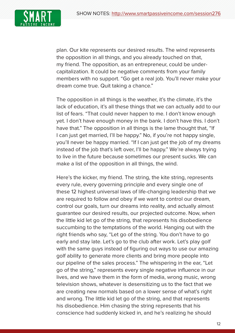

plan. Our kite represents our desired results. The wind represents the opposition in all things, and you already touched on that, my friend. The opposition, as an entrepreneur, could be undercapitalization. It could be negative comments from your family members with no support. "Go get a real job. You'll never make your dream come true. Quit taking a chance."

 The opposition in all things is the weather, it's the climate, it's the lack of education, it's all these things that we can actually add to our list of fears. "That could never happen to me. I don't know enough yet. I don't have enough money in the bank. I don't have this. I don't have that." The opposition in all things is the lame thought that, "If I can just get married, I'll be happy." No, if you're not happy single, you'll never be happy married. "If I can just get the job of my dreams instead of the job that's left over, I'll be happy." We're always trying to live in the future because sometimes our present sucks. We can make a list of the opposition in all things, the wind.

 Here's the kicker, my friend. The string, the kite string, represents every rule, every governing principle and every single one of these 12 highest universal laws of life-changing leadership that we are required to follow and obey if we want to control our dream, control our goals, turn our dreams into reality, and actually almost guarantee our desired results, our projected outcome. Now, when the little kid let go of the string, that represents his disobedience succumbing to the temptations of the world. Hanging out with the right friends who say, "Let go of the string. You don't have to go early and stay late. Let's go to the club after work. Let's play golf with the same guys instead of figuring out ways to use our amazing golf ability to generate more clients and bring more people into our pipeline of the sales process." The whispering in the ear, "Let go of the string," represents every single negative influence in our lives, and we have them in the form of media, wrong music, wrong television shows, whatever is desensitizing us to the fact that we are creating new normals based on a lower sense of what's right and wrong. The little kid let go of the string, and that represents his disobedience. Him chasing the string represents that his conscience had suddenly kicked in, and he's realizing he should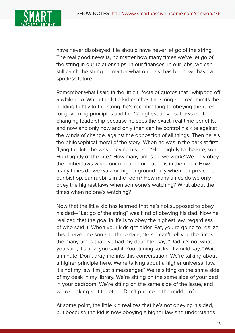

have never disobeyed. He should have never let go of the string. The real good news is, no matter how many times we've let go of the string in our relationships, in our finances, in our jobs, we can still catch the string no matter what our past has been, we have a spotless future.

Remember what I said in the little trifecta of quotes that I whipped off a while ago. When the little kid catches the string and recommits the holding tightly to the string, he's recommitting to obeying the rules for governing principles and the 12 highest universal laws of lifechanging leadership because he sees the exact, real-time benefits, and now and only now and only then can he control his kite against the winds of change, against the opposition of all things. Then here's the philosophical moral of the story: When he was in the park at first flying the kite, he was obeying his dad. "Hold tightly to the kite, son. Hold tightly of the kite." How many times do we work? We only obey the higher laws when our manager or leader is in the room. How many times do we walk on higher ground only when our preacher, our bishop, our rabbi is in the room? How many times do we only obey the highest laws when someone's watching? What about the times when no one's watching?

Now that the little kid has learned that he's not supposed to obey his dad—"Let go of the string" was kind of obeying his dad. Now he realized that the goal in life is to obey the highest law, regardless of who said it. When your kids get older, Pat, you're going to realize this. I have one son and three daughters. I can't tell you the times, the many times that I've had my daughter say, "Dad, it's not what you said, it's how you said it. Your timing sucks." I would say, "Wait a minute. Don't drag me into this conversation. We're talking about a higher principle here. We're talking about a higher universal law. It's not my law. I'm just a messenger." We're sitting on the same side of my desk in my library. We're sitting on the same side of your bed in your bedroom. We're sitting on the same side of the issue, and we're looking at it together. Don't put me in the middle of it.

At some point, the little kid realizes that he's not obeying his dad, but because the kid is now obeying a higher law and understands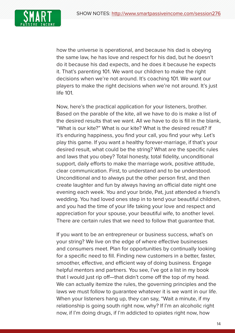

how the universe is operational, and because his dad is obeying the same law, he has love and respect for his dad, but he doesn't do it because his dad expects, and he does it because he expects it. That's parenting 101. We want our children to make the right decisions when we're not around. It's coaching 101. We want our players to make the right decisions when we're not around. It's just life 101.

Now, here's the practical application for your listeners, brother. Based on the parable of the kite, all we have to do is make a list of the desired results that we want. All we have to do is fill in the blank, "What is our kite?" What is our kite? What is the desired result? If it's enduring happiness, you find your call, you find your why. Let's play this game. If you want a healthy forever-marriage, if that's your desired result, what could be the string? What are the specific rules and laws that you obey? Total honesty, total fidelity, unconditional support, daily efforts to make the marriage work, positive attitude, clear communication. First, to understand and to be understood. Unconditional and to always put the other person first, and then create laughter and fun by always having an official date night one evening each week. You and your bride, Pat, just attended a friend's wedding. You had loved ones step in to tend your beautiful children, and you had the time of your life taking your love and respect and appreciation for your spouse, your beautiful wife, to another level. There are certain rules that we need to follow that guarantee that.

If you want to be an entrepreneur or business success, what's on your string? We live on the edge of where effective businesses and consumers meet. Plan for opportunities by continually looking for a specific need to fill. Finding new customers in a better, faster, smoother, effective, and efficient way of doing business. Engage helpful mentors and partners. You see, I've got a list in my book that I would just rip off—that didn't come off the top of my head. We can actually itemize the rules, the governing principles and the laws we must follow to guarantee whatever it is we want in our life. When your listeners hang up, they can say, "Wait a minute, if my relationship is going south right now, why? If I'm an alcoholic right now, if I'm doing drugs, if I'm addicted to opiates right now, how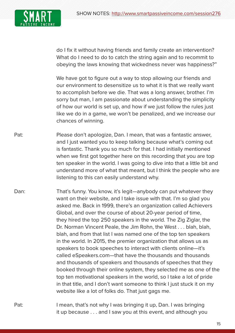

do I fix it without having friends and family create an intervention? What do I need to do to catch the string again and to recommit to obeying the laws knowing that wickedness never was happiness?"

 We have got to figure out a way to stop allowing our friends and our environment to desensitize us to what it is that we really want to accomplish before we die. That was a long answer, brother. I'm sorry but man, I am passionate about understanding the simplicity of how our world is set up, and how if we just follow the rules just like we do in a game, we won't be penalized, and we increase our chances of winning.

- Pat: Phease don't apologize, Dan. I mean, that was a fantastic answer, and I just wanted you to keep talking because what's coming out is fantastic. Thank you so much for that. I had initially mentioned when we first got together here on this recording that you are top ten speaker in the world. I was going to dive into that a little bit and understand more of what that meant, but I think the people who are listening to this can easily understand why.
- Dan: That's funny. You know, it's legit—anybody can put whatever they want on their website, and I take issue with that. I'm so glad you asked me. Back in 1999, there's an organization called Achievers Global, and over the course of about 20-year period of time, they hired the top 250 speakers in the world. The Zig Ziglar, the Dr. Norman Vincent Peale, the Jim Rohn, the West . . . blah, blah, blah, and from that list I was named one of the top ten speakers in the world. In 2015, the premier organization that allows us as speakers to book speeches to interact with clients online—it's called eSpeakers.com—that have the thousands and thousands and thousands of speakers and thousands of speeches that they booked through their online system, they selected me as one of the top ten motivational speakers in the world, so I take a lot of pride in that title, and I don't want someone to think I just stuck it on my website like a lot of folks do. That just gags me.
- Pat: I mean, that's not why I was bringing it up, Dan. I was bringing it up because . . . and I saw you at this event, and although you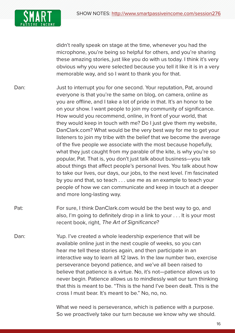

didn't really speak on stage at the time, whenever you had the microphone, you're being so helpful for others, and you're sharing these amazing stories, just like you do with us today. I think it's very obvious why you were selected because you tell it like it is in a very memorable way, and so I want to thank you for that.

- Dan: Just to interrupt you for one second. Your reputation, Pat, around everyone is that you're the same on blog, on camera, online as you are offline, and I take a lot of pride in that. It's an honor to be on your show. I want people to join my community of significance. How would you recommend, online, in front of your world, that they would keep in touch with me? Do I just give them my website, DanClark.com? What would be the very best way for me to get your listeners to join my tribe with the belief that we become the average of the five people we associate with the most because hopefully, what they just caught from my parable of the kite, is why you're so popular, Pat. That is, you don't just talk about business—you talk about things that affect people's personal lives. You talk about how to take our lives, our days, our jobs, to the next level. I'm fascinated by you and that, so teach . . . use me as an example to teach your people of how we can communicate and keep in touch at a deeper and more long-lasting way.
- Pat: For sure, I think DanClark.com would be the best way to go, and also, I'm going to definitely drop in a link to your . . . It is your most recent book, right, The Art of Significance?
- Dan: Yup. I've created a whole leadership experience that will be available online just in the next couple of weeks, so you can hear me tell these stories again, and then participate in an interactive way to learn all 12 laws. In the law number two, exercise perseverance beyond patience, and we've all been raised to believe that patience is a virtue. No, it's not—patience allows us to never begin. Patience allows us to mindlessly wait our turn thinking that this is meant to be. "This is the hand I've been dealt. This is the cross I must bear. It's meant to be." No, no, no.

 What we need is perseverance, which is patience with a purpose. So we proactively take our turn because we know why we should.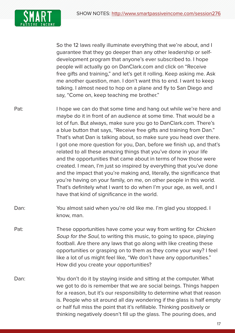

So the 12 laws really illuminate everything that we're about, and I guarantee that they go deeper than any other leadership or selfdevelopment program that anyone's ever subscribed to. I hope people will actually go on DanClark.com and click on "Receive free gifts and training," and let's get it rolling. Keep asking me. Ask me another question, man. I don't want this to end. I want to keep talking. I almost need to hop on a plane and fly to San Diego and say, "Come on, keep teaching me brother."

- Pat: I hope we can do that some time and hang out while we're here and maybe do it in front of an audience at some time. That would be a lot of fun. But always, make sure you go to DanClark.com. There's a blue button that says, "Receive free gifts and training from Dan." That's what Dan is talking about, so make sure you head over there. I got one more question for you, Dan, before we finish up, and that's related to all these amazing things that you've done in your life and the opportunities that came about in terms of how those were created. I mean, I'm just so inspired by everything that you've done and the impact that you're making and, literally, the significance that you're having on your family, on me, on other people in this world. That's definitely what I want to do when I'm your age, as well, and I have that kind of significance in the world.
- Dan: You almost said when you're old like me. I'm glad you stopped. I know, man.
- Pat: These opportunities have come your way from writing for *Chicken* Soup for the Soul, to writing this music, to going to space, playing football. Are there any laws that go along with like creating these opportunities or grasping on to them as they come your way? I feel like a lot of us might feel like, "We don't have any opportunities." How did you create your opportunities?
- Dan: You don't do it by staying inside and sitting at the computer. What we got to do is remember that we are social beings. Things happen for a reason, but it's our responsibility to determine what that reason is. People who sit around all day wondering if the glass is half empty or half full miss the point that it's refillable. Thinking positively or thinking negatively doesn't fill up the glass. The pouring does, and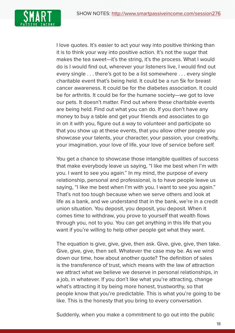

I love quotes. It's easier to act your way into positive thinking than it is to think your way into positive action. It's not the sugar that makes the tea sweet—it's the string, it's the process. What I would do is I would find out, wherever your listeners live, I would find out every single . . . there's got to be a list somewhere . . . every single charitable event that's being held. It could be a run 5k for breast cancer awareness. It could be for the diabetes association. It could be for arthritis. It could be for the humane society—we got to love our pets. It doesn't matter. Find out where these charitable events are being held. Find out what you can do. If you don't have any money to buy a table and get your friends and associates to go in on it with you, figure out a way to volunteer and participate so that you show up at these events, that you allow other people you showcase your talents, your character, your passion, your creativity, your imagination, your love of life, your love of service before self.

You get a chance to showcase those intangible qualities of success that make everybody leave us saying, "I like me best when I'm with you. I want to see you again." In my mind, the purpose of every relationship, personal and professional, is to have people leave us saying, "I like me best when I'm with you. I want to see you again." That's not too tough because when we serve others and look at life as a bank, and we understand that in the bank, we're in a credit union situation. You deposit, you deposit, you deposit. When it comes time to withdraw, you prove to yourself that wealth flows through you, not to you. You can get anything in this life that you want if you're willing to help other people get what they want.

 The equation is give, give, give, then ask. Give, give, give, then take. Give, give, give, then sell. Whatever the case may be. As we wind down our time, how about another quote? The definition of sales is the transference of trust, which means with the law of attraction we attract what we believe we deserve in personal relationships, in a job, in whatever. If you don't like what you're attracting, change what's attracting it by being more honest, trustworthy, so that people know that you're predictable. This is what you're going to be like. This is the honesty that you bring to every conversation.

Suddenly, when you make a commitment to go out into the public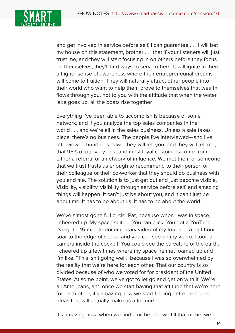

and get involved in service before self, I can guarantee . . . I will bet my house on this statement, brother . . . that if your listeners will just trust me, and they will start focusing in on others before they focus on themselves, they'll find ways to serve others. It will ignite in them a higher sense of awareness where their entrepreneurial dreams will come to fruition. They will naturally attract other people into their world who want to help them prove to themselves that wealth flows through you, not to you with the attitude that when the water lake goes up, all the boats rise together.

 Everything I've been able to accomplish is because of some network, and if you analyze the top sales companies in the world . . . and we're all in the sales business. Unless a sale takes place, there's no business. The people I've interviewed—and I've interviewed hundreds now—they will tell you, and they will tell me, that 95% of our very best and most loyal customers come from either a referral or a network of influence. We met them or someone that we trust trusts us enough to recommend to their person or their colleague or their co-worker that they should do business with you and me. The solution is to just get out and just become visible. Visibility, visibility, visibility through service before self, and amazing things will happen. It can't just be about you, and it can't just be about me. It has to be about us. It has to be about the world.

 We've almost gone full circle, Pat, because when I was in space, I cheered up. My space suit . . . You can click. You got a YouTube. I've got a 15-minute documentary video of my four and a half-hour soar to the edge of space, and you can see on my video. I took a camera inside the cockpit. You could see the curvature of the earth. I cheered up a few times where my space helmet foamed up and I'm like, "This isn't going well," because I was so overwhelmed by the reality that we're here for each other. That our country is so divided because of who we voted for for president of the United States. At some point, we've got to let go and get on with it. We're all Americans, and once we start having that attitude that we're here for each other, it's amazing how we start finding entrepreneurial ideas that will actually make us a fortune.

It's amazing how, when we find a niche and we fill that niche, we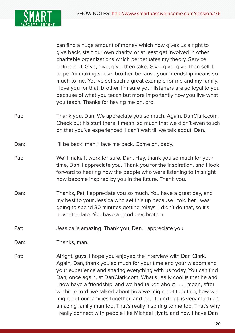

can find a huge amount of money which now gives us a right to give back, start our own charity, or at least get involved in other charitable organizations which perpetuates my theory. Service before self. Give, give, give, then take. Give, give, give, then sell. I hope I'm making sense, brother, because your friendship means so much to me. You've set such a great example for me and my family. I love you for that, brother. I'm sure your listeners are so loyal to you because of what you teach but more importantly how you live what you teach. Thanks for having me on, bro.

- Pat: Thank you, Dan. We appreciate you so much. Again, DanClark.com. Check out his stuff there. I mean, so much that we didn't even touch on that you've experienced. I can't wait till we talk about, Dan.
- Dan: I'll be back, man. Have me back. Come on, baby.
- Pat: We'll make it work for sure, Dan. Hey, thank you so much for your time, Dan. I appreciate you. Thank you for the inspiration, and I look forward to hearing how the people who were listening to this right now become inspired by you in the future. Thank you.
- Dan: Thanks, Pat, I appreciate you so much. You have a great day, and my best to your Jessica who set this up because I told her I was going to spend 30 minutes getting relays. I didn't do that, so it's never too late. You have a good day, brother.
- Pat: Jessica is amazing. Thank you, Dan. I appreciate you.

Dan: Thanks, man.

Pat: Alright, guys. I hope you enjoyed the interview with Dan Clark. Again, Dan, thank you so much for your time and your wisdom and your experience and sharing everything with us today. You can find Dan, once again, at DanClark.com. What's really cool is that he and I now have a friendship, and we had talked about . . . I mean, after we hit record, we talked about how we might get together, how we might get our families together, and he, I found out, is very much an amazing family man too. That's really inspiring to me too. That's why I really connect with people like Michael Hyatt, and now I have Dan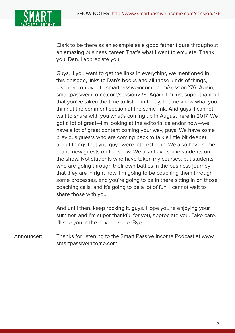

Clark to be there as an example as a good father figure throughout an amazing business career. That's what I want to emulate. Thank you, Dan. I appreciate you.

Guys, if you want to get the links in everything we mentioned in this episode, links to Dan's books and all those kinds of things, just head on over to smartpassiveincome.com/session276. Again, smartpassiveincome.com/session276. Again, I'm just super thankful that you've taken the time to listen in today. Let me know what you think at the comment section at the same link. And guys, I cannot wait to share with you what's coming up in August here in 2017. We got a lot of great—I'm looking at the editorial calendar now—we have a lot of great content coming your way, guys. We have some previous guests who are coming back to talk a little bit deeper about things that you guys were interested in. We also have some brand new guests on the show. We also have some students on the show. Not students who have taken my courses, but students who are going through their own battles in the business journey that they are in right now. I'm going to be coaching them through some processes, and you're going to be in there sitting in on those coaching calls, and it's going to be a lot of fun. I cannot wait to share those with you.

And until then, keep rocking it, guys. Hope you're enjoying your summer, and I'm super thankful for you, appreciate you. Take care. I'll see you in the next episode. Bye.

Announcer: Thanks for listening to the Smart Passive Income Podcast at www. smartpassiveincome.com.